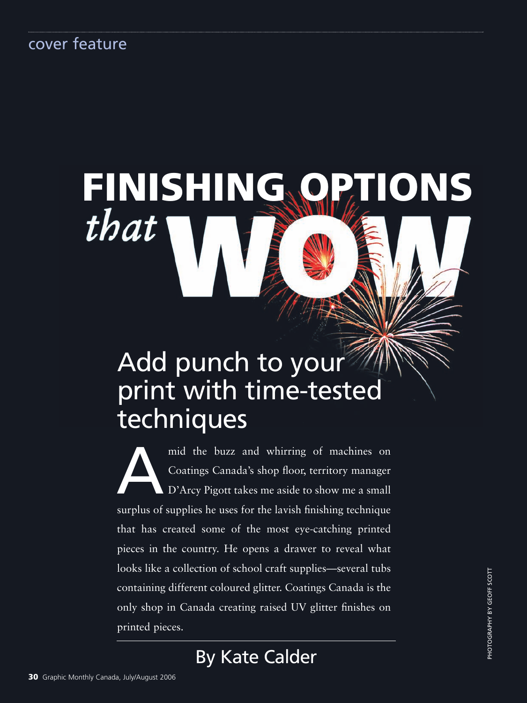# FINISHING ONS

# Add punch to your print with time-tested techniques

mid the buzz and whirring of machines on<br>Coatings Canada's shop floor, territory manager<br>D'Arcy Pigott takes me aside to show me a small Coatings Canada's shop floor, territory manager D'Arcy Pigott takes me aside to show me a small surplus of supplies he uses for the lavish finishing technique that has created some of the most eye-catching printed pieces in the country. He opens a drawer to reveal what looks like a collection of school craft supplies—several tubs containing different coloured glitter. Coatings Canada is the only shop in Canada creating raised UV glitter finishes on printed pieces.

By Kate Calder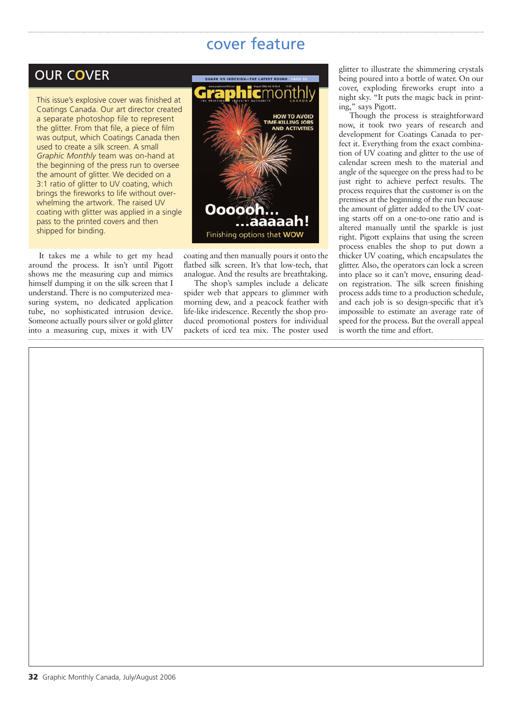#### OUR C**O**VER

This issue's explosive cover was finished at Coatings Canada. Our art director created a separate photoshop file to represent the glitter. From that file, a piece of film was output, which Coatings Canada then used to create a silk screen. A small *Graphic Monthly* team was on-hand at the beginning of the press run to oversee the amount of glitter. We decided on a 3:1 ratio of glitter to UV coating, which brings the fireworks to life without overwhelming the artwork. The raised UV coating with glitter was applied in a single pass to the printed covers and then shipped for binding.

It takes me a while to get my head around the process. It isn't until Pigott shows me the measuring cup and mimics himself dumping it on the silk screen that I understand. There is no computerized measuring system, no dedicated application tube, no sophisticated intrusion device. Someone actually pours silver or gold glitter into a measuring cup, mixes it with UV



coating and then manually pours it onto the flatbed silk screen. It's that low-tech, that analogue. And the results are breathtaking.

The shop's samples include a delicate spider web that appears to glimmer with morning dew, and a peacock feather with life-like iridescence. Recently the shop produced promotional posters for individual packets of iced tea mix. The poster used glitter to illustrate the shimmering crystals being poured into a bottle of water. On our cover, exploding fireworks erupt into a night sky. "It puts the magic back in printing," says Pigott.

Though the process is straightforward now, it took two years of research and development for Coatings Canada to perfect it. Everything from the exact combination of UV coating and glitter to the use of calendar screen mesh to the material and angle of the squeegee on the press had to be just right to achieve perfect results. The process requires that the customer is on the premises at the beginning of the run because the amount of glitter added to the UV coating starts off on a one-to-one ratio and is altered manually until the sparkle is just right. Pigott explains that using the screen process enables the shop to put down a thicker UV coating, which encapsulates the glitter. Also, the operators can lock a screen into place so it can't move, ensuring deadon registration. The silk screen finishing process adds time to a production schedule, and each job is so design-specific that it's impossible to estimate an average rate of speed for the process. But the overall appeal is worth the time and effort.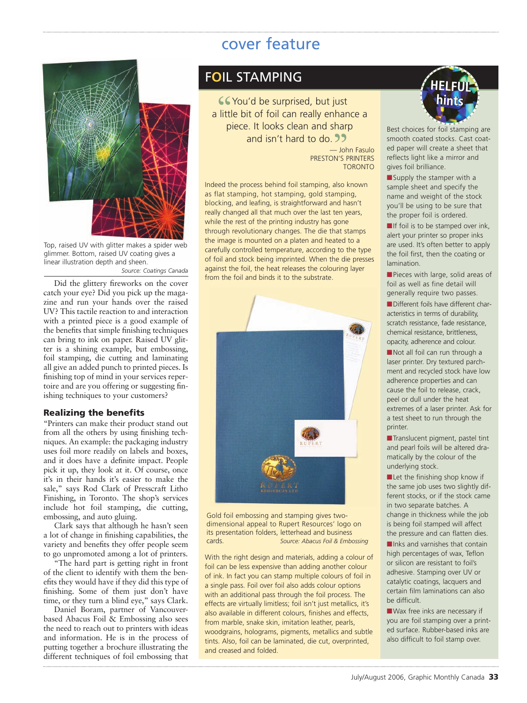

Top, raised UV with glitter makes a spider web glimmer. Bottom, raised UV coating gives a linear illustration depth and sheen.

*Source: Coatings Canada*

Did the glittery fireworks on the cover catch your eye? Did you pick up the magazine and run your hands over the raised UV? This tactile reaction to and interaction with a printed piece is a good example of the benefits that simple finishing techniques can bring to ink on paper. Raised UV glitter is a shining example, but embossing, foil stamping, die cutting and laminating all give an added punch to printed pieces. Is finishing top of mind in your services repertoire and are you offering or suggesting finishing techniques to your customers?

#### **Realizing the benefits**

"Printers can make their product stand out from all the others by using finishing techniques. An example: the packaging industry uses foil more readily on labels and boxes, and it does have a definite impact. People pick it up, they look at it. Of course, once it's in their hands it's easier to make the sale," says Rod Clark of Presscraft Litho Finishing, in Toronto. The shop's services include hot foil stamping, die cutting, embossing, and auto gluing.

Clark says that although he hasn't seen a lot of change in finishing capabilities, the variety and benefits they offer people seem to go unpromoted among a lot of printers.

"The hard part is getting right in front of the client to identify with them the benefits they would have if they did this type of finishing. Some of them just don't have time, or they turn a blind eye," says Clark.

Daniel Boram, partner of Vancouverbased Abacus Foil & Embossing also sees the need to reach out to printers with ideas and information. He is in the process of putting together a brochure illustrating the different techniques of foil embossing that

#### F**O**IL STAMPING

You'd be surprised, but just **CC** You'd be surprised, but just<br>a little bit of foil can really enhance a piece. It looks clean and sharp<br>and isn't hard to do. 22 and isn't hard to do. — John Fasulo

PRESTON'S PRINTERS TORONTO

Indeed the process behind foil stamping, also known as flat stamping, hot stamping, gold stamping, blocking, and leafing, is straightforward and hasn't really changed all that much over the last ten years, while the rest of the printing industry has gone through revolutionary changes. The die that stamps the image is mounted on a platen and heated to a carefully controlled temperature, according to the type of foil and stock being imprinted. When the die presses against the foil, the heat releases the colouring layer from the foil and binds it to the substrate.



Gold foil embossing and stamping gives twodimensional appeal to Rupert Resources' logo on its presentation folders, letterhead and business cards. *Source: Abacus Foil & Embossing*

With the right design and materials, adding a colour of foil can be less expensive than adding another colour of ink. In fact you can stamp multiple colours of foil in a single pass. Foil over foil also adds colour options with an additional pass through the foil process. The effects are virtually limitless; foil isn't just metallics, it's also available in different colours, finishes and effects, from marble, snake skin, imitation leather, pearls, woodgrains, holograms, pigments, metallics and subtle tints. Also, foil can be laminated, die cut, overprinted, and creased and folded.



Best choices for foil stamping are smooth coated stocks. Cast coated paper will create a sheet that reflects light like a mirror and gives foil brilliance.

**■**Supply the stamper with a sample sheet and specify the name and weight of the stock you'll be using to be sure that the proper foil is ordered.

**■**If foil is to be stamped over ink, alert your printer so proper inks are used. It's often better to apply the foil first, then the coating or lamination.

**■**Pieces with large, solid areas of foil as well as fine detail will generally require two passes.

**■**Different foils have different characteristics in terms of durability, scratch resistance, fade resistance, chemical resistance, brittleness, opacity, adherence and colour.

■ Not all foil can run through a laser printer. Dry textured parchment and recycled stock have low adherence properties and can cause the foil to release, crack, peel or dull under the heat extremes of a laser printer. Ask for a test sheet to run through the printer.

**■**Translucent pigment, pastel tint and pearl foils will be altered dramatically by the colour of the underlying stock.

■Let the finishing shop know if the same job uses two slightly different stocks, or if the stock came in two separate batches. A change in thickness while the job is being foil stamped will affect the pressure and can flatten dies.

■Inks and varnishes that contain high percentages of wax, Teflon or silicon are resistant to foil's adhesive. Stamping over UV or catalytic coatings, lacquers and certain film laminations can also be difficult.

**■**Wax free inks are necessary if you are foil stamping over a printed surface. Rubber-based inks are also difficult to foil stamp over.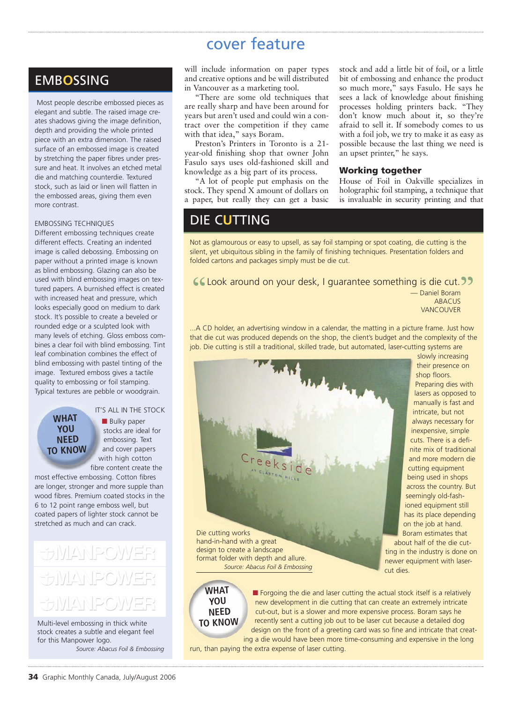#### EMB**O**SSING

Most people describe embossed pieces as elegant and subtle. The raised image creates shadows giving the image definition, depth and providing the whole printed piece with an extra dimension. The raised surface of an embossed image is created by stretching the paper fibres under pressure and heat. It involves an etched metal die and matching counterdie. Textured stock, such as laid or linen will flatten in the embossed areas, giving them even more contrast.

#### EMBOSSING TECHNIQUES

Different embossing techniques create different effects. Creating an indented image is called debossing. Embossing on paper without a printed image is known as blind embossing. Glazing can also be used with blind embossing images on textured papers. A burnished effect is created with increased heat and pressure, which looks especially good on medium to dark stock. It's possible to create a beveled or rounded edge or a sculpted look with many levels of etching. Gloss emboss combines a clear foil with blind embossing. Tint leaf combination combines the effect of blind embossing with pastel tinting of the image. Textured emboss gives a tactile quality to embossing or foil stamping. Typical textures are pebble or woodgrain.

**WHAT YOU NEED TO KNOW** IT'S ALL IN THE STOCK

■ **Bulky** paper stocks are ideal for embossing. Text and cover papers with high cotton fibre content create the

most effective embossing. Cotton fibres are longer, stronger and more supple than wood fibres. Premium coated stocks in the 6 to 12 point range emboss well, but coated papers of lighter stock cannot be stretched as much and can crack.

# <u>UMANPOWER</u> **FAMANPOWER** SULANPOWER

Multi-level embossing in thick white stock creates a subtle and elegant feel for this Manpower logo.

*Source: Abacus Foil & Embossing*

will include information on paper types and creative options and be will distributed in Vancouver as a marketing tool.

"There are some old techniques that are really sharp and have been around for years but aren't used and could win a contract over the competition if they came with that idea," says Boram.

Preston's Printers in Toronto is a 21 year-old finishing shop that owner John Fasulo says uses old-fashioned skill and knowledge as a big part of its process.

"A lot of people put emphasis on the stock. They spend X amount of dollars on a paper, but really they can get a basic stock and add a little bit of foil, or a little bit of embossing and enhance the product so much more," says Fasulo. He says he sees a lack of knowledge about finishing processes holding printers back. "They don't know much about it, so they're afraid to sell it. If somebody comes to us with a foil job, we try to make it as easy as possible because the last thing we need is an upset printer," he says.

#### **Working together**

House of Foil in Oakville specializes in holographic foil stamping, a technique that is invaluable in security printing and that

#### DIE C**U**TTING

Not as glamourous or easy to upsell, as say foil stamping or spot coating, die cutting is the silent, yet ubiquitous sibling in the family of finishing techniques. Presentation folders and folded cartons and packages simply must be die cut.

Look around on your desk, I guarantee something is die cut. " ,<br>"

— Daniel Boram **ABACUS VANCOUVER** 

...A CD holder, an advertising window in a calendar, the matting in a picture frame. Just how that die cut was produced depends on the shop, the client's budget and the complexity of the job. Die cutting is still a traditional, skilled trade, but automated, laser-cutting systems are



slowly increasing their presence on shop floors. Preparing dies with lasers as opposed to manually is fast and intricate, but not always necessary for inexpensive, simple cuts. There is a definite mix of traditional and more modern die cutting equipment being used in shops across the country. But seemingly old-fashioned equipment still has its place depending on the job at hand. Boram estimates that

about half of the die cutting in the industry is done on newer equipment with lasercut dies.

#### **WHAT YOU NEED TO KNOW**

■ Forgoing the die and laser cutting the actual stock itself is a relatively new development in die cutting that can create an extremely intricate cut-out, but is a slower and more expensive process. Boram says he recently sent a cutting job out to be laser cut because a detailed dog design on the front of a greeting card was so fine and intricate that creating a die would have been more time-consuming and expensive in the long

run, than paying the extra expense of laser cutting.